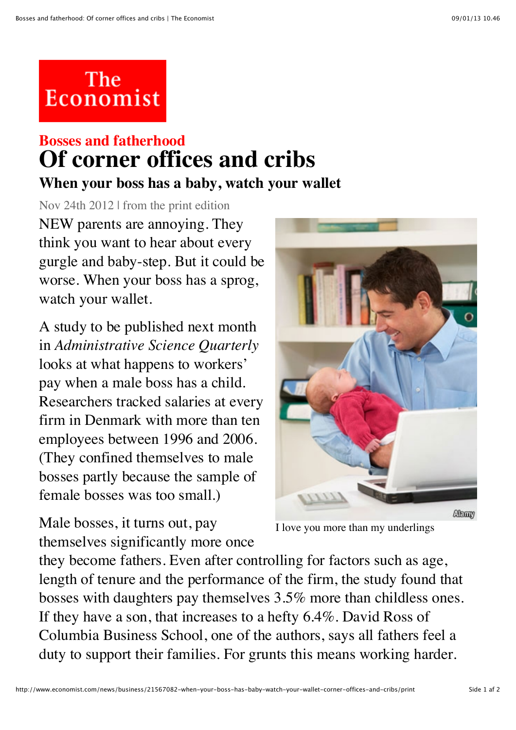## The<br>Economist

## **Bosses and fatherhood Of corner offices and cribs**

**When your boss has a baby, watch your wallet**

Nov 24th 2012 | from the print edition NEW parents are annoying. They think you want to hear about every gurgle and baby-step. But it could be worse. When your boss has a sprog, watch your wallet.

A study to be published next month in *Administrative Science Quarterly* looks at what happens to workers' pay when a male boss has a child. Researchers tracked salaries at every firm in Denmark with more than ten employees between 1996 and 2006. (They confined themselves to male bosses partly because the sample of female bosses was too small.)

Male bosses, it turns out, pay themselves significantly more once



I love you more than my underlings

they become fathers. Even after controlling for factors such as age, length of tenure and the performance of the firm, the study found that bosses with daughters pay themselves 3.5% more than childless ones. If they have a son, that increases to a hefty 6.4%. David Ross of Columbia Business School, one of the authors, says all fathers feel a duty to support their families. For grunts this means working harder.